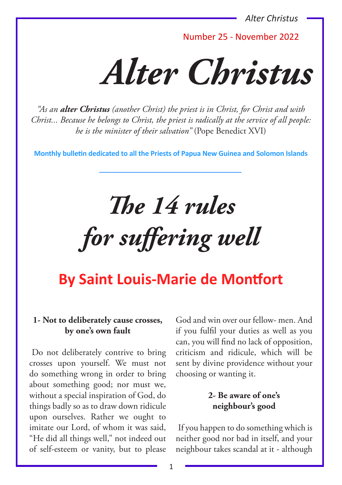Number 25 - November 2022

*Alter Christus*

*"As an alter Christus (another Christ) the priest is in Christ, for Christ and with Christ... Because he belongs to Christ, the priest is radically at the service of all people: he is the minister of their salvation"* (Pope Benedict XVI)

**Monthly bulletin dedicated to all the Priests of Papua New Guinea and Solomon Islands**

*The 14 rules for suffering well*

# **By Saint Louis-Marie de Montfort**

#### **1- Not to deliberately cause crosses, by one's own fault**

Do not deliberately contrive to bring crosses upon yourself. We must not do something wrong in order to bring about something good; nor must we, without a special inspiration of God, do things badly so as to draw down ridicule upon ourselves. Rather we ought to imitate our Lord, of whom it was said, "He did all things well," not indeed out of self-esteem or vanity, but to please

God and win over our fellow- men. And if you fulfil your duties as well as you can, you will find no lack of opposition, criticism and ridicule, which will be sent by divine providence without your choosing or wanting it.

#### **2- Be aware of one's neighbour's good**

If you happen to do something which is neither good nor bad in itself, and your neighbour takes scandal at it - although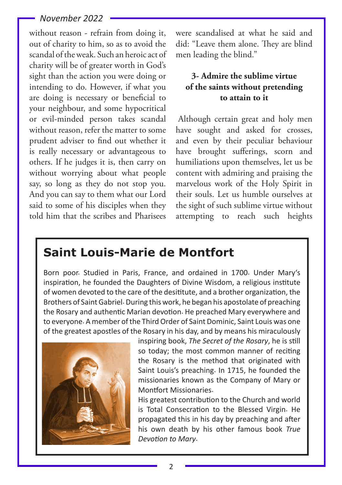without reason - refrain from doing it, out of charity to him, so as to avoid the scandal of the weak. Such an heroic act of charity will be of greater worth in God's sight than the action you were doing or intending to do. However, if what you are doing is necessary or beneficial to your neighbour, and some hypocritical or evil-minded person takes scandal without reason, refer the matter to some prudent adviser to find out whether it is really necessary or advantageous to others. If he judges it is, then carry on without worrying about what people say, so long as they do not stop you. And you can say to them what our Lord said to some of his disciples when they told him that the scribes and Pharisees

were scandalised at what he said and did: "Leave them alone. They are blind men leading the blind."

### **3- Admire the sublime virtue of the saints without pretending to attain to it**

Although certain great and holy men have sought and asked for crosses, and even by their peculiar behaviour have brought sufferings, scorn and humiliations upon themselves, let us be content with admiring and praising the marvelous work of the Holy Spirit in their souls. Let us humble ourselves at the sight of such sublime virtue without attempting to reach such heights

# **Saint Louis-Marie de Montfort**

Born poor. Studied in Paris, France, and ordained in 1700. Under Mary's inspiration, he founded the Daughters of Divine Wisdom, a religious institute of women devoted to the care of the desititute, and a brother organization, the Brothers of Saint Gabriel. During this work, he began his apostolate of preaching the Rosary and authentic Marian devotion. He preached Mary everywhere and to everyone. A member of the Third Order of Saint Dominic, Saint Louis was one of the greatest apostles of the Rosary in his day, and by means his miraculously



inspiring book, *The Secret of the Rosary*, he is still so today; the most common manner of reciting the Rosary is the method that originated with Saint Louis's preaching. In 1715, he founded the missionaries known as the Company of Mary or Montfort Missionaries.

His greatest contribution to the Church and world is Total Consecration to the Blessed Virgin. He propagated this in his day by preaching and after his own death by his other famous book *True Devotion to Mary*.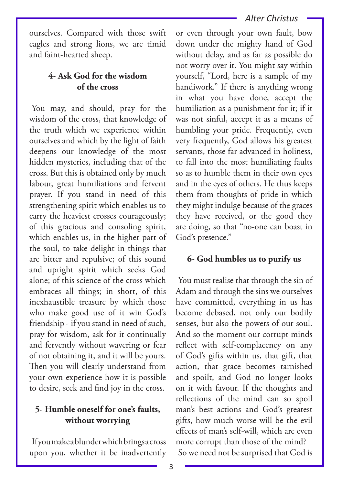ourselves. Compared with those swift eagles and strong lions, we are timid and faint-hearted sheep.

# **4- Ask God for the wisdom of the cross**

You may, and should, pray for the wisdom of the cross, that knowledge of the truth which we experience within ourselves and which by the light of faith deepens our knowledge of the most hidden mysteries, including that of the cross. But this is obtained only by much labour, great humiliations and fervent prayer. If you stand in need of this strengthening spirit which enables us to carry the heaviest crosses courageously; of this gracious and consoling spirit, which enables us, in the higher part of the soul, to take delight in things that are bitter and repulsive; of this sound and upright spirit which seeks God alone; of this science of the cross which embraces all things; in short, of this inexhaustible treasure by which those who make good use of it win God's friendship - if you stand in need of such, pray for wisdom, ask for it continually and fervently without wavering or fear of not obtaining it, and it will be yours. Then you will clearly understand from your own experience how it is possible to desire, seek and find joy in the cross.

#### **5- Humble oneself for one's faults, without worrying**

If you make a blunder which brings a cross upon you, whether it be inadvertently or even through your own fault, bow down under the mighty hand of God without delay, and as far as possible do not worry over it. You might say within yourself, "Lord, here is a sample of my handiwork." If there is anything wrong in what you have done, accept the humiliation as a punishment for it; if it was not sinful, accept it as a means of humbling your pride. Frequently, even very frequently, God allows his greatest servants, those far advanced in holiness, to fall into the most humiliating faults so as to humble them in their own eyes and in the eyes of others. He thus keeps them from thoughts of pride in which they might indulge because of the graces they have received, or the good they are doing, so that "no-one can boast in God's presence."

#### **6- God humbles us to purify us**

You must realise that through the sin of Adam and through the sins we ourselves have committed, everything in us has become debased, not only our bodily senses, but also the powers of our soul. And so the moment our corrupt minds reflect with self-complacency on any of God's gifts within us, that gift, that action, that grace becomes tarnished and spoilt, and God no longer looks on it with favour. If the thoughts and reflections of the mind can so spoil man's best actions and God's greatest gifts, how much worse will be the evil effects of man's self-will, which are even more corrupt than those of the mind? So we need not be surprised that God is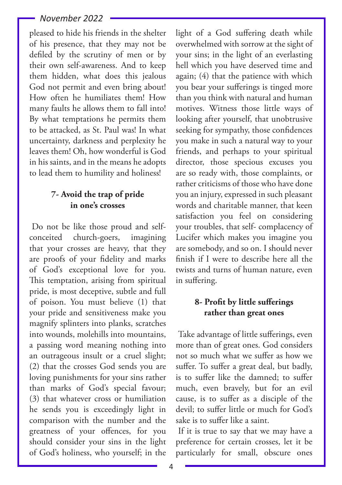pleased to hide his friends in the shelter of his presence, that they may not be defiled by the scrutiny of men or by their own self-awareness. And to keep them hidden, what does this jealous God not permit and even bring about! How often he humiliates them! How many faults he allows them to fall into! By what temptations he permits them to be attacked, as St. Paul was! In what uncertainty, darkness and perplexity he leaves them! Oh, how wonderful is God in his saints, and in the means he adopts to lead them to humility and holiness!

#### **7- Avoid the trap of pride in one's crosses**

Do not be like those proud and selfconceited church-goers, imagining that your crosses are heavy, that they are proofs of your fidelity and marks of God's exceptional love for you. This temptation, arising from spiritual pride, is most deceptive, subtle and full of poison. You must believe (1) that your pride and sensitiveness make you magnify splinters into planks, scratches into wounds, molehills into mountains, a passing word meaning nothing into an outrageous insult or a cruel slight; (2) that the crosses God sends you are loving punishments for your sins rather than marks of God's special favour; (3) that whatever cross or humiliation he sends you is exceedingly light in comparison with the number and the greatness of your offences, for you should consider your sins in the light of God's holiness, who yourself; in the

light of a God suffering death while overwhelmed with sorrow at the sight of your sins; in the light of an everlasting hell which you have deserved time and again; (4) that the patience with which you bear your sufferings is tinged more than you think with natural and human motives. Witness those little ways of looking after yourself, that unobtrusive seeking for sympathy, those confidences you make in such a natural way to your friends, and perhaps to your spiritual director, those specious excuses you are so ready with, those complaints, or rather criticisms of those who have done you an injury, expressed in such pleasant words and charitable manner, that keen satisfaction you feel on considering your troubles, that self- complacency of Lucifer which makes you imagine you are somebody, and so on. I should never finish if I were to describe here all the twists and turns of human nature, even in suffering.

#### **8- Profit by little sufferings rather than great ones**

Take advantage of little sufferings, even more than of great ones. God considers not so much what we suffer as how we suffer. To suffer a great deal, but badly, is to suffer like the damned; to suffer much, even bravely, but for an evil cause, is to suffer as a disciple of the devil; to suffer little or much for God's sake is to suffer like a saint.

If it is true to say that we may have a preference for certain crosses, let it be particularly for small, obscure ones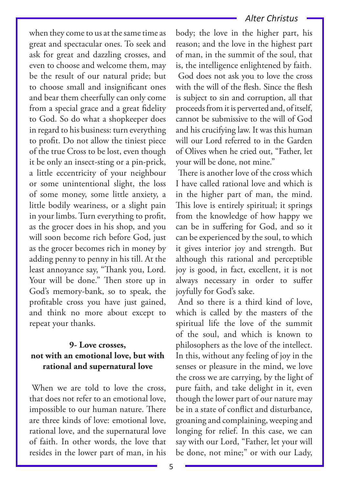when they come to us at the same time as great and spectacular ones. To seek and ask for great and dazzling crosses, and even to choose and welcome them, may be the result of our natural pride; but to choose small and insignificant ones and bear them cheerfully can only come from a special grace and a great fidelity to God. So do what a shopkeeper does in regard to his business: turn everything to profit. Do not allow the tiniest piece of the true Cross to be lost, even though it be only an insect-sting or a pin-prick, a little eccentricity of your neighbour or some unintentional slight, the loss of some money, some little anxiety, a little bodily weariness, or a slight pain in your limbs. Turn everything to profit, as the grocer does in his shop, and you will soon become rich before God, just as the grocer becomes rich in money by adding penny to penny in his till. At the least annoyance say, "Thank you, Lord. Your will be done." Then store up in God's memory-bank, so to speak, the profitable cross you have just gained, and think no more about except to repeat your thanks.

#### **9- Love crosses, not with an emotional love, but with rational and supernatural love**

When we are told to love the cross, that does not refer to an emotional love, impossible to our human nature. There are three kinds of love: emotional love, rational love, and the supernatural love of faith. In other words, the love that resides in the lower part of man, in his

body; the love in the higher part, his reason; and the love in the highest part of man, in the summit of the soul, that is, the intelligence enlightened by faith.

God does not ask you to love the cross with the will of the flesh. Since the flesh is subject to sin and corruption, all that proceeds from it is perverted and, of itself, cannot be submissive to the will of God and his crucifying law. It was this human will our Lord referred to in the Garden of Olives when he cried out, "Father, let your will be done, not mine."

There is another love of the cross which I have called rational love and which is in the higher part of man, the mind. This love is entirely spiritual; it springs from the knowledge of how happy we can be in suffering for God, and so it can be experienced by the soul, to which it gives interior joy and strength. But although this rational and perceptible joy is good, in fact, excellent, it is not always necessary in order to suffer joyfully for God's sake.

And so there is a third kind of love, which is called by the masters of the spiritual life the love of the summit of the soul, and which is known to philosophers as the love of the intellect. In this, without any feeling of joy in the senses or pleasure in the mind, we love the cross we are carrying, by the light of pure faith, and take delight in it, even though the lower part of our nature may be in a state of conflict and disturbance, groaning and complaining, weeping and longing for relief. In this case, we can say with our Lord, "Father, let your will be done, not mine;" or with our Lady,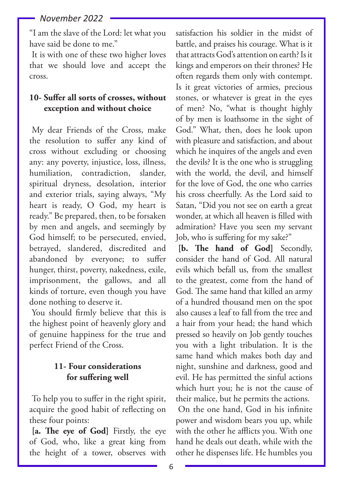"I am the slave of the Lord: let what you have said be done to me."

It is with one of these two higher loves that we should love and accept the cross.

# **10- Suffer all sorts of crosses, without exception and without choice**

My dear Friends of the Cross, make the resolution to suffer any kind of cross without excluding or choosing any: any poverty, injustice, loss, illness, humiliation, contradiction, slander, spiritual dryness, desolation, interior and exterior trials, saying always, "My heart is ready, O God, my heart is ready." Be prepared, then, to be forsaken by men and angels, and seemingly by God himself; to be persecuted, envied, betrayed, slandered, discredited and abandoned by everyone; to suffer hunger, thirst, poverty, nakedness, exile, imprisonment, the gallows, and all kinds of torture, even though you have done nothing to deserve it.

You should firmly believe that this is the highest point of heavenly glory and of genuine happiness for the true and perfect Friend of the Cross.

# **11- Four considerations for suffering well**

To help you to suffer in the right spirit, acquire the good habit of reflecting on these four points:

**[a. The eye of God]** Firstly, the eye of God, who, like a great king from the height of a tower, observes with

satisfaction his soldier in the midst of battle, and praises his courage. What is it that attracts God's attention on earth? Is it kings and emperors on their thrones? He often regards them only with contempt. Is it great victories of armies, precious stones, or whatever is great in the eyes of men? No, "what is thought highly of by men is loathsome in the sight of God." What, then, does he look upon with pleasure and satisfaction, and about which he inquires of the angels and even the devils? It is the one who is struggling with the world, the devil, and himself for the love of God, the one who carries his cross cheerfully. As the Lord said to Satan, "Did you not see on earth a great wonder, at which all heaven is filled with admiration? Have you seen my servant Job, who is suffering for my sake?"

**[b. The hand of God]** Secondly, consider the hand of God. All natural evils which befall us, from the smallest to the greatest, come from the hand of God. The same hand that killed an army of a hundred thousand men on the spot also causes a leaf to fall from the tree and a hair from your head; the hand which pressed so heavily on Job gently touches you with a light tribulation. It is the same hand which makes both day and night, sunshine and darkness, good and evil. He has permitted the sinful actions which hurt you; he is not the cause of their malice, but he permits the actions.

On the one hand, God in his infinite power and wisdom bears you up, while with the other he afflicts you. With one hand he deals out death, while with the other he dispenses life. He humbles you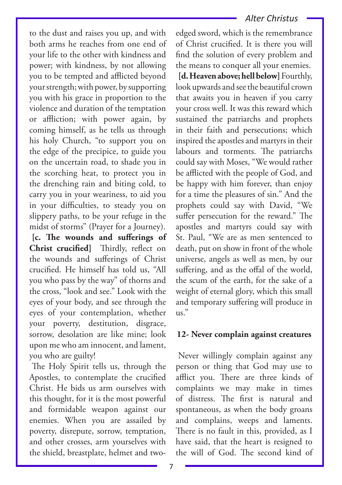to the dust and raises you up, and with both arms he reaches from one end of your life to the other with kindness and power; with kindness, by not allowing you to be tempted and afflicted beyond your strength; with power, by supporting you with his grace in proportion to the violence and duration of the temptation or affliction; with power again, by coming himself, as he tells us through his holy Church, "to support you on the edge of the precipice, to guide you on the uncertain road, to shade you in the scorching heat, to protect you in the drenching rain and biting cold, to carry you in your weariness, to aid you in your difficulties, to steady you on slippery paths, to be your refuge in the midst of storms" (Prayer for a Journey).

**[c. The wounds and sufferings of Christ crucified]** Thirdly, reflect on the wounds and sufferings of Christ crucified. He himself has told us, "All you who pass by the way" of thorns and the cross, "look and see." Look with the eyes of your body, and see through the eyes of your contemplation, whether your poverty, destitution, disgrace, sorrow, desolation are like mine; look upon me who am innocent, and lament, you who are guilty!

The Holy Spirit tells us, through the Apostles, to contemplate the crucified Christ. He bids us arm ourselves with this thought, for it is the most powerful and formidable weapon against our enemies. When you are assailed by poverty, disrepute, sorrow, temptation, and other crosses, arm yourselves with the shield, breastplate, helmet and twoedged sword, which is the remembrance of Christ crucified. It is there you will find the solution of every problem and the means to conquer all your enemies.

**[d. Heaven above; hell below]** Fourthly, look upwards and see the beautiful crown that awaits you in heaven if you carry your cross well. It was this reward which sustained the patriarchs and prophets in their faith and persecutions; which inspired the apostles and martyrs in their labours and torments. The patriarchs could say with Moses, "We would rather be afflicted with the people of God, and be happy with him forever, than enjoy for a time the pleasures of sin." And the prophets could say with David, "We suffer persecution for the reward." The apostles and martyrs could say with St. Paul, "We are as men sentenced to death, put on show in front of the whole universe, angels as well as men, by our suffering, and as the offal of the world, the scum of the earth, for the sake of a weight of eternal glory, which this small and temporary suffering will produce in  $\overline{11S}$ ."

#### **12- Never complain against creatures**

Never willingly complain against any person or thing that God may use to afflict you. There are three kinds of complaints we may make in times of distress. The first is natural and spontaneous, as when the body groans and complains, weeps and laments. There is no fault in this, provided, as I have said, that the heart is resigned to the will of God. The second kind of